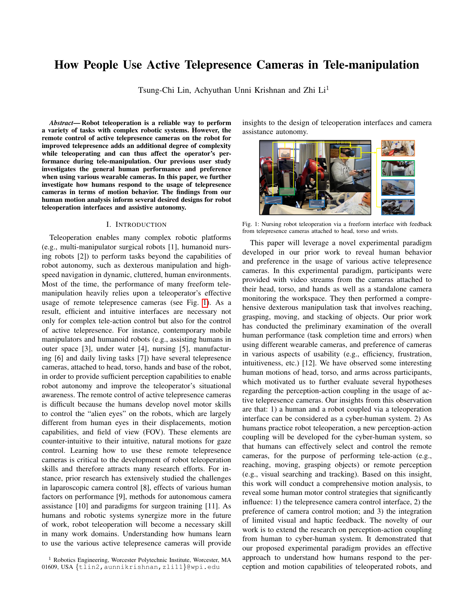# How People Use Active Telepresence Cameras in Tele-manipulation

Tsung-Chi Lin, Achyuthan Unni Krishnan and Zhi Li<sup>1</sup>

*Abstract*— Robot teleoperation is a reliable way to perform a variety of tasks with complex robotic systems. However, the remote control of active telepresence cameras on the robot for improved telepresence adds an additional degree of complexity while teleoperating and can thus affect the operator's performance during tele-manipulation. Our previous user study investigates the general human performance and preference when using various wearable cameras. In this paper, we further investigate how humans respond to the usage of telepresence cameras in terms of motion behavior. The findings from our human motion analysis inform several desired designs for robot teleoperation interfaces and assistive autonomy.

#### I. INTRODUCTION

Teleoperation enables many complex robotic platforms (e.g., multi-manipulator surgical robots [1], humanoid nursing robots [2]) to perform tasks beyond the capabilities of robot autonomy, such as dexterous manipulation and highspeed navigation in dynamic, cluttered, human environments. Most of the time, the performance of many freeform telemanipulation heavily relies upon a teleoperator's effective usage of remote telepresence cameras (see Fig. [1\)](#page-0-0). As a result, efficient and intuitive interfaces are necessary not only for complex tele-action control but also for the control of active telepresence. For instance, contemporary mobile manipulators and humanoid robots (e.g., assisting humans in outer space [3], under water [4], nursing [5], manufacturing [6] and daily living tasks [7]) have several telepresence cameras, attached to head, torso, hands and base of the robot, in order to provide sufficient perception capabilities to enable robot autonomy and improve the teleoperator's situational awareness. The remote control of active telepresence cameras is difficult because the humans develop novel motor skills to control the "alien eyes" on the robots, which are largely different from human eyes in their displacements, motion capabilities, and field of view (FOV). These elements are counter-intuitive to their intuitive, natural motions for gaze control. Learning how to use these remote telepresence cameras is critical to the development of robot teleoperation skills and therefore attracts many research efforts. For instance, prior research has extensively studied the challenges in laparoscopic camera control [8], effects of various human factors on performance [9], methods for autonomous camera assistance [10] and paradigms for surgeon training [11]. As humans and robotic systems synergize more in the future of work, robot teleoperation will become a necessary skill in many work domains. Understanding how humans learn to use the various active telepresence cameras will provide

insights to the design of teleoperation interfaces and camera assistance autonomy.

<span id="page-0-0"></span>

Fig. 1: Nursing robot teleoperation via a freeform interface with feedback from telepresence cameras attached to head, torso and wrists.

This paper will leverage a novel experimental paradigm developed in our prior work to reveal human behavior and preference in the usage of various active telepresence cameras. In this experimental paradigm, participants were provided with video streams from the cameras attached to their head, torso, and hands as well as a standalone camera monitoring the workspace. They then performed a comprehensive dexterous manipulation task that involves reaching, grasping, moving, and stacking of objects. Our prior work has conducted the preliminary examination of the overall human performance (task completion time and errors) when using different wearable cameras, and preference of cameras in various aspects of usability (e.g., efficiency, frustration, intuitiveness, etc.) [12]. We have observed some interesting human motions of head, torso, and arms across participants, which motivated us to further evaluate several hypotheses regarding the perception-action coupling in the usage of active telepresence cameras. Our insights from this observation are that: 1) a human and a robot coupled via a teleoperation interface can be considered as a cyber-human system. 2) As humans practice robot teleoperation, a new perception-action coupling will be developed for the cyber-human system, so that humans can effectively select and control the remote cameras, for the purpose of performing tele-action (e.g., reaching, moving, grasping objects) or remote perception (e.g., visual searching and tracking). Based on this insight, this work will conduct a comprehensive motion analysis, to reveal some human motor control strategies that significantly influence: 1) the telepresence camera control interface, 2) the preference of camera control motion; and 3) the integration of limited visual and haptic feedback. The novelty of our work is to extend the research on perception-action coupling from human to cyber-human system. It demonstrated that our proposed experimental paradigm provides an effective approach to understand how humans respond to the perception and motion capabilities of teleoperated robots, and

<sup>&</sup>lt;sup>1</sup> Robotics Engineering, Worcester Polytechnic Institute, Worcester, MA 01609, USA {tlin2,aunnikrishnan,zli11}@wpi.edu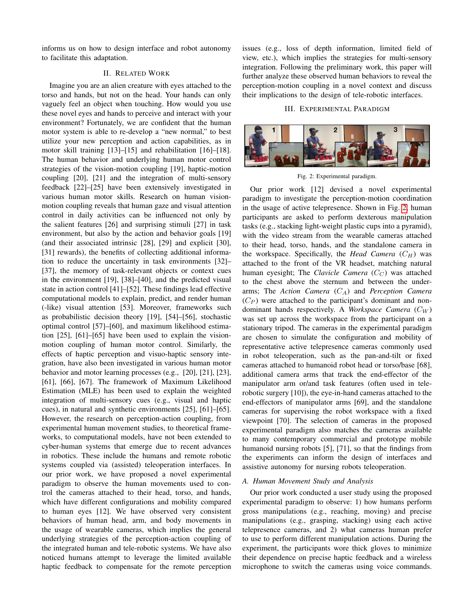informs us on how to design interface and robot autonomy to facilitate this adaptation.

# II. RELATED WORK

Imagine you are an alien creature with eyes attached to the torso and hands, but not on the head. Your hands can only vaguely feel an object when touching. How would you use these novel eyes and hands to perceive and interact with your environment? Fortunately, we are confident that the human motor system is able to re-develop a "new normal," to best utilize your new perception and action capabilities, as in motor skill training [13]–[15] and rehabilitation [16]–[18]. The human behavior and underlying human motor control strategies of the vision-motion coupling [19], haptic-motion coupling [20], [21] and the integration of multi-sensory feedback [22]–[25] have been extensively investigated in various human motor skills. Research on human visionmotion coupling reveals that human gaze and visual attention control in daily activities can be influenced not only by the salient features [26] and surprising stimuli [27] in task environment, but also by the action and behavior goals [19] (and their associated intrinsic [28], [29] and explicit [30], [31] rewards), the benefits of collecting additional information to reduce the uncertainty in task environments [32]– [37], the memory of task-relevant objects or context cues in the environment [19], [38]–[40], and the predicted visual state in action control [41]–[52]. These findings lead effective computational models to explain, predict, and render human (-like) visual attention [53]. Moreover, frameworks such as probabilistic decision theory [19], [54]–[56], stochastic optimal control [57]–[60], and maximum likelihood estimation [25], [61]–[65] have been used to explain the visionmotion coupling of human motor control. Similarly, the effects of haptic perception and visuo-haptic sensory integration, have also been investigated in various human motor behavior and motor learning processes (e.g., [20], [21], [23], [61], [66], [67]. The framework of Maximum Likelihood Estimation (MLE) has been used to explain the weighted integration of multi-sensory cues (e.g., visual and haptic cues), in natural and synthetic environments [25], [61]–[65]. However, the research on perception-action coupling, from experimental human movement studies, to theoretical frameworks, to computational models, have not been extended to cyber-human systems that emerge due to recent advances in robotics. These include the humans and remote robotic systems coupled via (assisted) teleoperation interfaces. In our prior work, we have proposed a novel experimental paradigm to observe the human movements used to control the cameras attached to their head, torso, and hands, which have different configurations and mobility compared to human eyes [12]. We have observed very consistent behaviors of human head, arm, and body movements in the usage of wearable cameras, which implies the general underlying strategies of the perception-action coupling of the integrated human and tele-robotic systems. We have also noticed humans attempt to leverage the limited available haptic feedback to compensate for the remote perception

issues (e.g., loss of depth information, limited field of view, etc.), which implies the strategies for multi-sensory integration. Following the preliminary work, this paper will further analyze these observed human behaviors to reveal the perception-motion coupling in a novel context and discuss their implications to the design of tele-robotic interfaces.

### III. EXPERIMENTAL PARADIGM

<span id="page-1-0"></span>

Fig. 2: Experimental paradigm.

Our prior work [12] devised a novel experimental paradigm to investigate the perception-motion coordination in the usage of active telepresence. Shown in Fig. [2,](#page-1-0) human participants are asked to perform dexterous manipulation tasks (e.g., stacking light-weight plastic cups into a pyramid), with the video stream from the wearable cameras attached to their head, torso, hands, and the standalone camera in the workspace. Specifically, the *Head Camera*  $(C_H)$  was attached to the front of the VR headset, matching natural human eyesight; The *Clavicle Camera*  $(C_C)$  was attached to the chest above the sternum and between the underarms; The *Action Camera*  $(C_A)$  and *Perception Camera*  $(C_P)$  were attached to the participant's dominant and nondominant hands respectively. A *Workspace Camera*  $(C_W)$ was set up across the workspace from the participant on a stationary tripod. The cameras in the experimental paradigm are chosen to simulate the configuration and mobility of representative active telepresence cameras commonly used in robot teleoperation, such as the pan-and-tilt or fixed cameras attached to humanoid robot head or torso/base [68], additional camera arms that track the end-effector of the manipulator arm or/and task features (often used in telerobotic surgery [10]), the eye-in-hand cameras attached to the end-effectors of manipulator arms [69], and the standalone cameras for supervising the robot workspace with a fixed viewpoint [70]. The selection of cameras in the proposed experimental paradigm also matches the cameras available to many contemporary commercial and prototype mobile humanoid nursing robots [5], [71], so that the findings from the experiments can inform the design of interfaces and assistive autonomy for nursing robots teleoperation.

### *A. Human Movement Study and Analysis*

Our prior work conducted a user study using the proposed experimental paradigm to observe: 1) how humans perform gross manipulations (e.g., reaching, moving) and precise manipulations (e.g., grasping, stacking) using each active telepresence cameras, and 2) what cameras human prefer to use to perform different manipulation actions. During the experiment, the participants wore thick gloves to minimize their dependence on precise haptic feedback and a wireless microphone to switch the cameras using voice commands.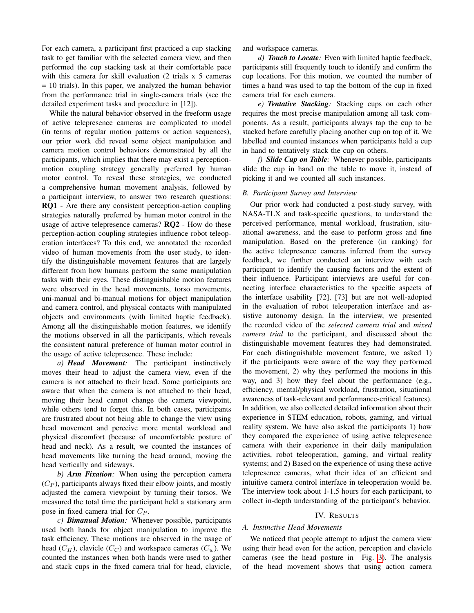For each camera, a participant first practiced a cup stacking task to get familiar with the selected camera view, and then performed the cup stacking task at their comfortable pace with this camera for skill evaluation (2 trials x 5 cameras  $= 10$  trials). In this paper, we analyzed the human behavior from the performance trial in single-camera trials (see the detailed experiment tasks and procedure in [12]).

While the natural behavior observed in the freeform usage of active telepresence cameras are complicated to model (in terms of regular motion patterns or action sequences), our prior work did reveal some object manipulation and camera motion control behaviors demonstrated by all the participants, which implies that there may exist a perceptionmotion coupling strategy generally preferred by human motor control. To reveal these strategies, we conducted a comprehensive human movement analysis, followed by a participant interview, to answer two research questions: RQ1 - Are there any consistent perception-action coupling strategies naturally preferred by human motor control in the usage of active telepresence cameras? RQ2 - How do these perception-action coupling strategies influence robot teleoperation interfaces? To this end, we annotated the recorded video of human movements from the user study, to identify the distinguishable movement features that are largely different from how humans perform the same manipulation tasks with their eyes. These distinguishable motion features were observed in the head movements, torso movements, uni-manual and bi-manual motions for object manipulation and camera control, and physical contacts with manipulated objects and environments (with limited haptic feedback). Among all the distinguishable motion features, we identify the motions observed in all the participants, which reveals the consistent natural preference of human motor control in the usage of active telepresence. These include:

*a) Head Movement:* The participant instinctively moves their head to adjust the camera view, even if the camera is not attached to their head. Some participants are aware that when the camera is not attached to their head, moving their head cannot change the camera viewpoint, while others tend to forget this. In both cases, participants are frustrated about not being able to change the view using head movement and perceive more mental workload and physical discomfort (because of uncomfortable posture of head and neck). As a result, we counted the instances of head movements like turning the head around, moving the head vertically and sideways.

*b) Arm Fixation:* When using the perception camera  $(C_P)$ , participants always fixed their elbow joints, and mostly adjusted the camera viewpoint by turning their torsos. We measured the total time the participant held a stationary arm pose in fixed camera trial for  $C_P$ .

*c) Bimanual Motion:* Whenever possible, participants used both hands for object manipulation to improve the task efficiency. These motions are observed in the usage of head  $(C_H)$ , clavicle  $(C_C)$  and workspace cameras  $(C_w)$ . We counted the instances when both hands were used to gather and stack cups in the fixed camera trial for head, clavicle,

and workspace cameras.

*d) Touch to Locate:* Even with limited haptic feedback, participants still frequently touch to identify and confirm the cup locations. For this motion, we counted the number of times a hand was used to tap the bottom of the cup in fixed camera trial for each camera.

*e) Tentative Stacking:* Stacking cups on each other requires the most precise manipulation among all task components. As a result, participants always tap the cup to be stacked before carefully placing another cup on top of it. We labelled and counted instances when participants held a cup in hand to tentatively stack the cup on others.

*f) Slide Cup on Table:* Whenever possible, participants slide the cup in hand on the table to move it, instead of picking it and we counted all such instances.

### *B. Participant Survey and Interview*

Our prior work had conducted a post-study survey, with NASA-TLX and task-specific questions, to understand the perceived performance, mental workload, frustration, situational awareness, and the ease to perform gross and fine manipulation. Based on the preference (in ranking) for the active telepresence cameras inferred from the survey feedback, we further conducted an interview with each participant to identify the causing factors and the extent of their influence. Participant interviews are useful for connecting interface characteristics to the specific aspects of the interface usability [72], [73] but are not well-adopted in the evaluation of robot teleoperation interface and assistive autonomy design. In the interview, we presented the recorded video of the *selected camera trial* and *mixed camera trial* to the participant, and discussed about the distinguishable movement features they had demonstrated. For each distinguishable movement feature, we asked 1) if the participants were aware of the way they performed the movement, 2) why they performed the motions in this way, and 3) how they feel about the performance (e.g., efficiency, mental/physical workload, frustration, situational awareness of task-relevant and performance-critical features). In addition, we also collected detailed information about their experience in STEM education, robots, gaming, and virtual reality system. We have also asked the participants 1) how they compared the experience of using active telepresence camera with their experience in their daily manipulation activities, robot teleoperation, gaming, and virtual reality systems; and 2) Based on the experience of using these active telepresence cameras, what their idea of an efficient and intuitive camera control interface in teleoperation would be. The interview took about 1-1.5 hours for each participant, to collect in-depth understanding of the participant's behavior.

#### IV. RESULTS

#### *A. Instinctive Head Movements*

We noticed that people attempt to adjust the camera view using their head even for the action, perception and clavicle cameras (see the head posture in Fig. [3\)](#page-3-0). The analysis of the head movement shows that using action camera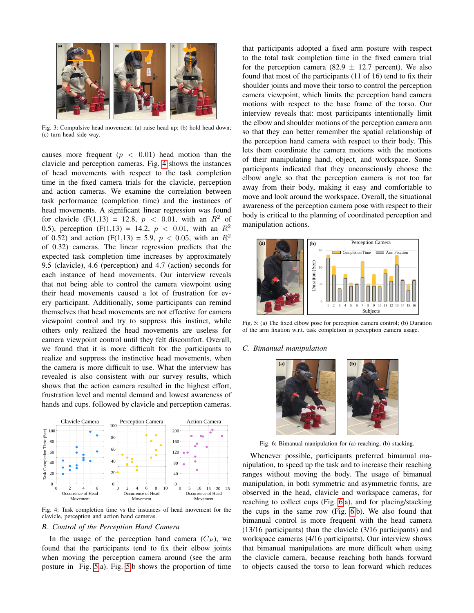<span id="page-3-0"></span>

Fig. 3: Compulsive head movement: (a) raise head up; (b) hold head down; (c) turn head side way.

causes more frequent  $(p < 0.01)$  head motion than the clavicle and perception cameras. Fig. [4](#page-3-1) shows the instances of head movements with respect to the task completion time in the fixed camera trials for the clavicle, perception and action cameras. We examine the correlation between task performance (completion time) and the instances of head movements. A significant linear regression was found for clavicle  $(F(1,13) = 12.8, p < 0.01,$  with an  $R^2$  of 0.5), perception (F(1,13) = 14.2,  $p < 0.01$ , with an  $R^2$ of 0.52) and action (F(1,13) = 5.9,  $p < 0.05$ , with an  $R^2$ of 0.32) cameras. The linear regression predicts that the expected task completion time increases by approximately 9.5 (clavicle), 4.6 (perception) and 4.7 (action) seconds for each instance of head movements. Our interview reveals that not being able to control the camera viewpoint using their head movements caused a lot of frustration for every participant. Additionally, some participants can remind themselves that head movements are not effective for camera viewpoint control and try to suppress this instinct, while others only realized the head movements are useless for camera viewpoint control until they felt discomfort. Overall, we found that it is more difficult for the participants to realize and suppress the instinctive head movements, when the camera is more difficult to use. What the interview has revealed is also consistent with our survey results, which shows that the action camera resulted in the highest effort, frustration level and mental demand and lowest awareness of hands and cups. followed by clavicle and perception cameras.

<span id="page-3-1"></span>

Fig. 4: Task completion time vs the instances of head movement for the clavicle, perception and action hand cameras.

## *B. Control of the Perception Hand Camera*

In the usage of the perception hand camera  $(C_P)$ , we found that the participants tend to fix their elbow joints when moving the perception camera around (see the arm posture in Fig. [5.](#page-3-2)a). Fig. [5.](#page-3-2)b shows the proportion of time that participants adopted a fixed arm posture with respect to the total task completion time in the fixed camera trial for the perception camera (82.9  $\pm$  12.7 percent). We also found that most of the participants (11 of 16) tend to fix their shoulder joints and move their torso to control the perception camera viewpoint, which limits the perception hand camera motions with respect to the base frame of the torso. Our interview reveals that: most participants intentionally limit the elbow and shoulder motions of the perception camera arm so that they can better remember the spatial relationship of the perception hand camera with respect to their body. This lets them coordinate the camera motions with the motions of their manipulating hand, object, and workspace. Some participants indicated that they unconsciously choose the elbow angle so that the perception camera is not too far away from their body, making it easy and comfortable to move and look around the workspace. Overall, the situational awareness of the perception camera pose with respect to their body is critical to the planning of coordinated perception and manipulation actions.

<span id="page-3-2"></span>

Fig. 5: (a) The fixed elbow pose for perception camera control; (b) Duration of the arm fixation w.r.t. task completion in perception camera usage.

#### <span id="page-3-3"></span>*C. Bimanual manipulation*



Fig. 6: Bimanual manipulation for (a) reaching, (b) stacking.

Whenever possible, participants preferred bimanual manipulation, to speed up the task and to increase their reaching ranges without moving the body. The usage of bimanual manipulation, in both symmetric and asymmetric forms, are observed in the head, clavicle and workspace cameras, for reaching to collect cups (Fig. [6.](#page-3-3)a), and for placing/stacking the cups in the same row (Fig. [6.](#page-3-3)b). We also found that bimanual control is more frequent with the head camera (13/16 participants) than the clavicle (3/16 participants) and workspace cameras (4/16 participants). Our interview shows that bimanual manipulations are more difficult when using the clavicle camera, because reaching both hands forward to objects caused the torso to lean forward which reduces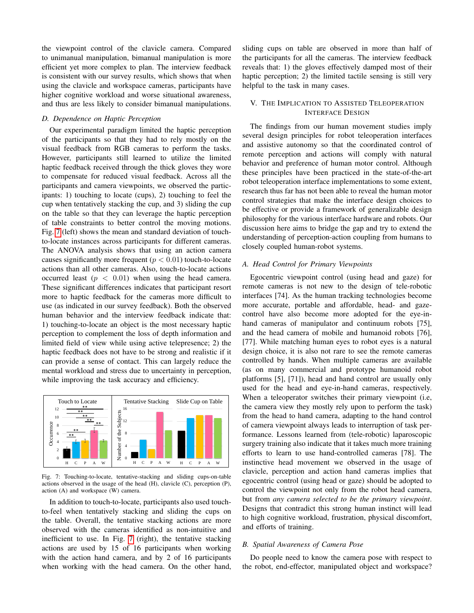the viewpoint control of the clavicle camera. Compared to unimanual manipulation, bimanual manipulation is more efficient yet more complex to plan. The interview feedback is consistent with our survey results, which shows that when using the clavicle and workspace cameras, participants have higher cognitive workload and worse situational awareness, and thus are less likely to consider bimanual manipulations.

### *D. Dependence on Haptic Perception*

Our experimental paradigm limited the haptic perception of the participants so that they had to rely mostly on the visual feedback from RGB cameras to perform the tasks. However, participants still learned to utilize the limited haptic feedback received through the thick gloves they wore to compensate for reduced visual feedback. Across all the participants and camera viewpoints, we observed the participants: 1) touching to locate (cups), 2) touching to feel the cup when tentatively stacking the cup, and 3) sliding the cup on the table so that they can leverage the haptic perception of table constraints to better control the moving motions. Fig. [7](#page-4-0) (left) shows the mean and standard deviation of touchto-locate instances across participants for different cameras. The ANOVA analysis shows that using an action camera causes significantly more frequent ( $p < 0.01$ ) touch-to-locate actions than all other cameras. Also, touch-to-locate actions occurred least  $(p < 0.01)$  when using the head camera. These significant differences indicates that participant resort more to haptic feedback for the cameras more difficult to use (as indicated in our survey feedback). Both the observed human behavior and the interview feedback indicate that: 1) touching-to-locate an object is the most necessary haptic perception to complement the loss of depth information and limited field of view while using active telepresence; 2) the haptic feedback does not have to be strong and realistic if it can provide a sense of contact. This can largely reduce the mental workload and stress due to uncertainty in perception, while improving the task accuracy and efficiency.

<span id="page-4-0"></span>

Fig. 7: Touching-to-locate, tentative-stacking and sliding cups-on-table actions observed in the usage of the head (H), clavicle (C), perception (P), action (A) and workspace (W) camera.

In addition to touch-to-locate, participants also used touchto-feel when tentatively stacking and sliding the cups on the table. Overall, the tentative stacking actions are more observed with the cameras identified as non-intuitive and inefficient to use. In Fig. [7](#page-4-0) (right), the tentative stacking actions are used by 15 of 16 participants when working with the action hand camera, and by 2 of 16 participants when working with the head camera. On the other hand,

sliding cups on table are observed in more than half of the participants for all the cameras. The interview feedback reveals that: 1) the gloves effectively damped most of their haptic perception; 2) the limited tactile sensing is still very helpful to the task in many cases.

# V. THE IMPLICATION TO ASSISTED TELEOPERATION INTERFACE DESIGN

The findings from our human movement studies imply several design principles for robot teleoperation interfaces and assistive autonomy so that the coordinated control of remote perception and actions will comply with natural behavior and preference of human motor control. Although these principles have been practiced in the state-of-the-art robot teleoperation interface implementations to some extent, research thus far has not been able to reveal the human motor control strategies that make the interface design choices to be effective or provide a framework of generalizable design philosophy for the various interface hardware and robots. Our discussion here aims to bridge the gap and try to extend the understanding of perception-action coupling from humans to closely coupled human-robot systems.

# *A. Head Control for Primary Viewpoints*

Egocentric viewpoint control (using head and gaze) for remote cameras is not new to the design of tele-robotic interfaces [74]. As the human tracking technologies become more accurate, portable and affordable, head- and gazecontrol have also become more adopted for the eye-inhand cameras of manipulator and continuum robots [75], and the head camera of mobile and humanoid robots [76], [77]. While matching human eyes to robot eyes is a natural design choice, it is also not rare to see the remote cameras controlled by hands. When multiple cameras are available (as on many commercial and prototype humanoid robot platforms [5], [71]), head and hand control are usually only used for the head and eye-in-hand cameras, respectively. When a teleoperator switches their primary viewpoint (i.e, the camera view they mostly rely upon to perform the task) from the head to hand camera, adapting to the hand control of camera viewpoint always leads to interruption of task performance. Lessons learned from (tele-robotic) laparoscopic surgery training also indicate that it takes much more training efforts to learn to use hand-controlled cameras [78]. The instinctive head movement we observed in the usage of clavicle, perception and action hand cameras implies that egocentric control (using head or gaze) should be adopted to control the viewpoint not only from the robot head camera, but from *any camera selected to be the primary viewpoint*. Designs that contradict this strong human instinct will lead to high cognitive workload, frustration, physical discomfort, and efforts of training.

# *B. Spatial Awareness of Camera Pose*

Do people need to know the camera pose with respect to the robot, end-effector, manipulated object and workspace?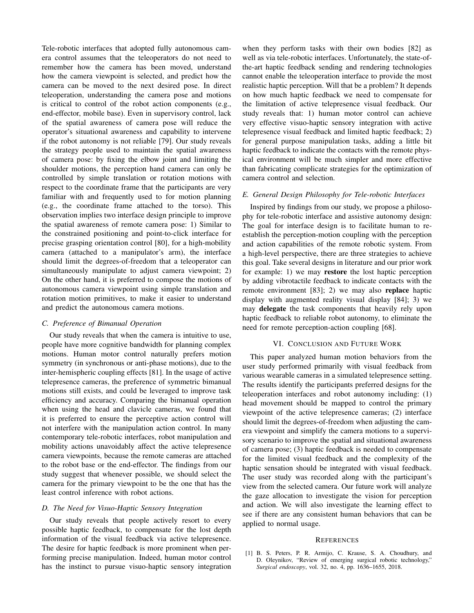Tele-robotic interfaces that adopted fully autonomous camera control assumes that the teleoperators do not need to remember how the camera has been moved, understand how the camera viewpoint is selected, and predict how the camera can be moved to the next desired pose. In direct teleoperation, understanding the camera pose and motions is critical to control of the robot action components (e.g., end-effector, mobile base). Even in supervisory control, lack of the spatial awareness of camera pose will reduce the operator's situational awareness and capability to intervene if the robot autonomy is not reliable [79]. Our study reveals the strategy people used to maintain the spatial awareness of camera pose: by fixing the elbow joint and limiting the shoulder motions, the perception hand camera can only be controlled by simple translation or rotation motions with respect to the coordinate frame that the participants are very familiar with and frequently used to for motion planning (e.g., the coordinate frame attached to the torso). This observation implies two interface design principle to improve the spatial awareness of remote camera pose: 1) Similar to the constrained positioning and point-to-click interface for precise grasping orientation control [80], for a high-mobility camera (attached to a manipulator's arm), the interface should limit the degrees-of-freedom that a teleoperator can simultaneously manipulate to adjust camera viewpoint; 2) On the other hand, it is preferred to compose the motions of autonomous camera viewpoint using simple translation and rotation motion primitives, to make it easier to understand and predict the autonomous camera motions.

### *C. Preference of Bimanual Operation*

Our study reveals that when the camera is intuitive to use, people have more cognitive bandwidth for planning complex motions. Human motor control naturally prefers motion symmetry (in synchronous or anti-phase motions), due to the inter-hemispheric coupling effects [81]. In the usage of active telepresence cameras, the preference of symmetric bimanual motions still exists, and could be leveraged to improve task efficiency and accuracy. Comparing the bimanual operation when using the head and clavicle cameras, we found that it is preferred to ensure the perceptive action control will not interfere with the manipulation action control. In many contemporary tele-robotic interfaces, robot manipulation and mobility actions unavoidably affect the active telepresence camera viewpoints, because the remote cameras are attached to the robot base or the end-effector. The findings from our study suggest that whenever possible, we should select the camera for the primary viewpoint to be the one that has the least control inference with robot actions.

### *D. The Need for Visuo-Haptic Sensory Integration*

Our study reveals that people actively resort to every possible haptic feedback, to compensate for the lost depth information of the visual feedback via active telepresence. The desire for haptic feedback is more prominent when performing precise manipulation. Indeed, human motor control has the instinct to pursue visuo-haptic sensory integration when they perform tasks with their own bodies [82] as well as via tele-robotic interfaces. Unfortunately, the state-ofthe-art haptic feedback sending and rendering technologies cannot enable the teleoperation interface to provide the most realistic haptic perception. Will that be a problem? It depends on how much haptic feedback we need to compensate for the limitation of active telepresence visual feedback. Our study reveals that: 1) human motor control can achieve very effective visuo-haptic sensory integration with active telepresence visual feedback and limited haptic feedback; 2) for general purpose manipulation tasks, adding a little bit haptic feedback to indicate the contacts with the remote physical environment will be much simpler and more effective than fabricating complicate strategies for the optimization of camera control and selection.

## *E. General Design Philosophy for Tele-robotic Interfaces*

Inspired by findings from our study, we propose a philosophy for tele-robotic interface and assistive autonomy design: The goal for interface design is to facilitate human to reestablish the perception-motion coupling with the perception and action capabilities of the remote robotic system. From a high-level perspective, there are three strategies to achieve this goal. Take several designs in literature and our prior work for example: 1) we may restore the lost haptic perception by adding vibrotactile feedback to indicate contacts with the remote environment [83]; 2) we may also replace haptic display with augmented reality visual display [84]; 3) we may delegate the task components that heavily rely upon haptic feedback to reliable robot autonomy, to eliminate the need for remote perception-action coupling [68].

#### VI. CONCLUSION AND FUTURE WORK

This paper analyzed human motion behaviors from the user study performed primarily with visual feedback from various wearable cameras in a simulated telepresence setting. The results identify the participants preferred designs for the teleoperation interfaces and robot autonomy including: (1) head movement should be mapped to control the primary viewpoint of the active telepresence cameras; (2) interface should limit the degrees-of-freedom when adjusting the camera viewpoint and simplify the camera motions to a supervisory scenario to improve the spatial and situational awareness of camera pose; (3) haptic feedback is needed to compensate for the limited visual feedback and the complexity of the haptic sensation should be integrated with visual feedback. The user study was recorded along with the participant's view from the selected camera. Our future work will analyze the gaze allocation to investigate the vision for perception and action. We will also investigate the learning effect to see if there are any consistent human behaviors that can be applied to normal usage.

#### **REFERENCES**

[1] B. S. Peters, P. R. Armijo, C. Krause, S. A. Choudhury, and D. Oleynikov, "Review of emerging surgical robotic technology," *Surgical endoscopy*, vol. 32, no. 4, pp. 1636–1655, 2018.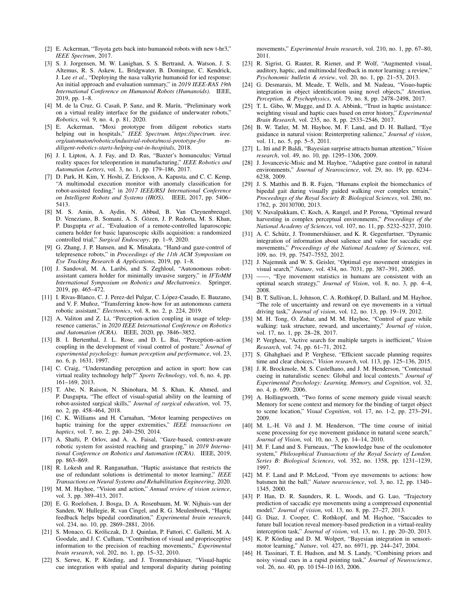- [2] E. Ackerman, "Toyota gets back into humanoid robots with new t-hr3," *IEEE Spectrum*, 2017.
- [3] S. J. Jorgensen, M. W. Lanighan, S. S. Bertrand, A. Watson, J. S. Altemus, R. S. Askew, L. Bridgwater, B. Domingue, C. Kendrick, J. Lee *et al.*, "Deploying the nasa valkyrie humanoid for ied response: An initial approach and evaluation summary," in *2019 IEEE-RAS 19th International Conference on Humanoid Robots (Humanoids)*. IEEE, 2019, pp. 1–8.
- [4] M. de la Cruz, G. Casañ, P. Sanz, and R. Marín, "Preliminary work on a virtual reality interface for the guidance of underwater robots," *Robotics*, vol. 9, no. 4, p. 81, 2020.
- [5] E. Ackerman, "Moxi prototype from diligent robotics starts helping out in hospitals," *IEEE Spectrum. https://spectrum. ieee. org/automaton/robotics/industrial-robots/moxi-prototype-fro mdiligent-robotics-starts-helping-out-in-hospitals*, 2018.
- [6] J. I. Lipton, A. J. Fay, and D. Rus, "Baxter's homunculus: Virtual reality spaces for teleoperation in manufacturing," *IEEE Robotics and Automation Letters*, vol. 3, no. 1, pp. 179–186, 2017.
- [7] D. Park, H. Kim, Y. Hoshi, Z. Erickson, A. Kapusta, and C. C. Kemp, "A multimodal execution monitor with anomaly classification for robot-assisted feeding," in *2017 IEEE/RSJ International Conference on Intelligent Robots and Systems (IROS)*. IEEE, 2017, pp. 5406– 5413.
- [8] M. S. Amin, A. Aydin, N. Abbud, B. Van Cleynenbreugel, D. Veneziano, B. Somani, A. S. Gözen, J. P. Redorta, M. S. Khan, P. Dasgupta *et al.*, "Evaluation of a remote-controlled laparoscopic camera holder for basic laparoscopic skills acquisition: a randomized controlled trial," *Surgical Endoscopy*, pp. 1–9, 2020.
- [9] G. Zhang, J. P. Hansen, and K. Minakata, "Hand-and gaze-control of telepresence robots," in *Proceedings of the 11th ACM Symposium on Eye Tracking Research & Applications*, 2019, pp. 1–8.
- [10] J. Sandoval, M. A. Laribi, and S. Zeghloul, "Autonomous robotassistant camera holder for minimally invasive surgery," in *IFToMM International Symposium on Robotics and Mechatronics*. Springer, 2019, pp. 465–472.
- [11] I. Rivas-Blanco, C. J. Perez-del Pulgar, C. López-Casado, E. Bauzano, and V. F. Muñoz, "Transferring know-how for an autonomous camera robotic assistant," *Electronics*, vol. 8, no. 2, p. 224, 2019.
- [12] A. Valiton and Z. Li, "Perception-action coupling in usage of telepresence cameras," in *2020 IEEE International Conference on Robotics and Automation (ICRA)*. IEEE, 2020, pp. 3846–3852.
- [13] B. I. Bertenthal, J. L. Rose, and D. L. Bai, "Perception-action coupling in the development of visual control of posture." *Journal of experimental psychology: human perception and performance*, vol. 23, no. 6, p. 1631, 1997.
- [14] C. Craig, "Understanding perception and action in sport: how can virtual reality technology help?" *Sports Technology*, vol. 6, no. 4, pp. 161–169, 2013.
- [15] T. Abe, N. Raison, N. Shinohara, M. S. Khan, K. Ahmed, and P. Dasgupta, "The effect of visual-spatial ability on the learning of robot-assisted surgical skills," *Journal of surgical education*, vol. 75, no. 2, pp. 458–464, 2018.
- [16] C. K. Williams and H. Carnahan, "Motor learning perspectives on haptic training for the upper extremities," *IEEE transactions on haptics*, vol. 7, no. 2, pp. 240–250, 2014.
- [17] A. Shafti, P. Orlov, and A. A. Faisal, "Gaze-based, context-aware robotic system for assisted reaching and grasping," in *2019 International Conference on Robotics and Automation (ICRA)*. IEEE, 2019, pp. 863–869.
- [18] R. Lokesh and R. Ranganathan, "Haptic assistance that restricts the use of redundant solutions is detrimental to motor learning," *IEEE Transactions on Neural Systems and Rehabilitation Engineering*, 2020.
- [19] M. M. Hayhoe, "Vision and action," *Annual review of vision science*, vol. 3, pp. 389–413, 2017.
- [20] E. G. Roelofsen, J. Bosga, D. A. Rosenbaum, M. W. Nijhuis-van der Sanden, W. Hullegie, R. van Cingel, and R. G. Meulenbroek, "Haptic feedback helps bipedal coordination," *Experimental brain research*, vol. 234, no. 10, pp. 2869–2881, 2016.
- [21] S. Monaco, G. Króliczak, D. J. Quinlan, P. Fattori, C. Galletti, M. A. Goodale, and J. C. Culham, "Contribution of visual and proprioceptive information to the precision of reaching movements," *Experimental brain research*, vol. 202, no. 1, pp. 15–32, 2010.
- [22] S. Serwe, K. P. Körding, and J. Trommershäuser, "Visual-haptic cue integration with spatial and temporal disparity during pointing

movements," *Experimental brain research*, vol. 210, no. 1, pp. 67–80, 2011.

- [23] R. Sigrist, G. Rauter, R. Riener, and P. Wolf, "Augmented visual, auditory, haptic, and multimodal feedback in motor learning: a review," *Psychonomic bulletin & review*, vol. 20, no. 1, pp. 21–53, 2013.
- [24] G. Desmarais, M. Meade, T. Wells, and M. Nadeau, "Visuo-haptic integration in object identification using novel objects," *Attention, Perception, & Psychophysics*, vol. 79, no. 8, pp. 2478–2498, 2017.
- [25] T. L. Gibo, W. Mugge, and D. A. Abbink, "Trust in haptic assistance: weighting visual and haptic cues based on error history," *Experimental Brain Research*, vol. 235, no. 8, pp. 2533–2546, 2017.
- [26] B. W. Tatler, M. M. Hayhoe, M. F. Land, and D. H. Ballard, "Eye guidance in natural vision: Reinterpreting salience," *Journal of vision*, vol. 11, no. 5, pp. 5–5, 2011.
- [27] L. Itti and P. Baldi, "Bayesian surprise attracts human attention," *Vision research*, vol. 49, no. 10, pp. 1295–1306, 2009.
- [28] J. Jovancevic-Misic and M. Hayhoe, "Adaptive gaze control in natural environments," *Journal of Neuroscience*, vol. 29, no. 19, pp. 6234– 6238, 2009.
- [29] J. S. Matthis and B. R. Fajen, "Humans exploit the biomechanics of bipedal gait during visually guided walking over complex terrain," *Proceedings of the Royal Society B: Biological Sciences*, vol. 280, no. 1762, p. 20130700, 2013.
- [30] V. Navalpakkam, C. Koch, A. Rangel, and P. Perona, "Optimal reward harvesting in complex perceptual environments," *Proceedings of the National Academy of Sciences*, vol. 107, no. 11, pp. 5232–5237, 2010.
- [31] A. C. Schütz, J. Trommershäuser, and K. R. Gegenfurtner, "Dynamic integration of information about salience and value for saccadic eye movements," *Proceedings of the National Academy of Sciences*, vol. 109, no. 19, pp. 7547–7552, 2012.
- [32] J. Najemnik and W. S. Geisler, "Optimal eye movement strategies in visual search," *Nature*, vol. 434, no. 7031, pp. 387–391, 2005.
- [33] ——, "Eye movement statistics in humans are consistent with an optimal search strategy," *Journal of Vision*, vol. 8, no. 3, pp. 4–4, 2008.
- [34] B. T. Sullivan, L. Johnson, C. A. Rothkopf, D. Ballard, and M. Hayhoe, "The role of uncertainty and reward on eye movements in a virtual driving task," *Journal of vision*, vol. 12, no. 13, pp. 19–19, 2012.
- [35] M. H. Tong, O. Zohar, and M. M. Hayhoe, "Control of gaze while walking: task structure, reward, and uncertainty," *Journal of vision*, vol. 17, no. 1, pp. 28–28, 2017.
- [36] P. Verghese, "Active search for multiple targets is inefficient," *Vision Research*, vol. 74, pp. 61–71, 2012.
- [37] S. Ghahghaei and P. Verghese, "Efficient saccade planning requires time and clear choices," *Vision research*, vol. 113, pp. 125–136, 2015.
- [38] J. R. Brockmole, M. S. Castelhano, and J. M. Henderson, "Contextual cueing in naturalistic scenes: Global and local contexts." *Journal of Experimental Psychology: Learning, Memory, and Cognition*, vol. 32, no. 4, p. 699, 2006.
- [39] A. Hollingworth, "Two forms of scene memory guide visual search: Memory for scene context and memory for the binding of target object to scene location," *Visual Cognition*, vol. 17, no. 1-2, pp. 273–291, 2009.
- [40] M. L.-H. Võ and J. M. Henderson, "The time course of initial scene processing for eye movement guidance in natural scene search," *Journal of Vision*, vol. 10, no. 3, pp. 14–14, 2010.
- [41] M. F. Land and S. Furneaux, "The knowledge base of the oculomotor system," *Philosophical Transactions of the Royal Society of London. Series B: Biological Sciences*, vol. 352, no. 1358, pp. 1231–1239, 1997.
- [42] M. F. Land and P. McLeod, "From eye movements to actions: how batsmen hit the ball," *Nature neuroscience*, vol. 3, no. 12, pp. 1340– 1345, 2000.
- [43] P. Han, D. R. Saunders, R. L. Woods, and G. Luo, "Trajectory prediction of saccadic eye movements using a compressed exponential model," *Journal of vision*, vol. 13, no. 8, pp. 27–27, 2013.
- [44] G. Diaz, J. Cooper, C. Rothkopf, and M. Hayhoe, "Saccades to future ball location reveal memory-based prediction in a virtual-reality interception task," *Journal of vision*, vol. 13, no. 1, pp. 20–20, 2013.
- [45] K. P. Körding and D. M. Wolpert, "Bayesian integration in sensorimotor learning," *Nature*, vol. 427, no. 6971, pp. 244–247, 2004.
- [46] H. Tassinari, T. E. Hudson, and M. S. Landy, "Combining priors and noisy visual cues in a rapid pointing task," *Journal of Neuroscience*, vol. 26, no. 40, pp. 10 154–10 163, 2006.